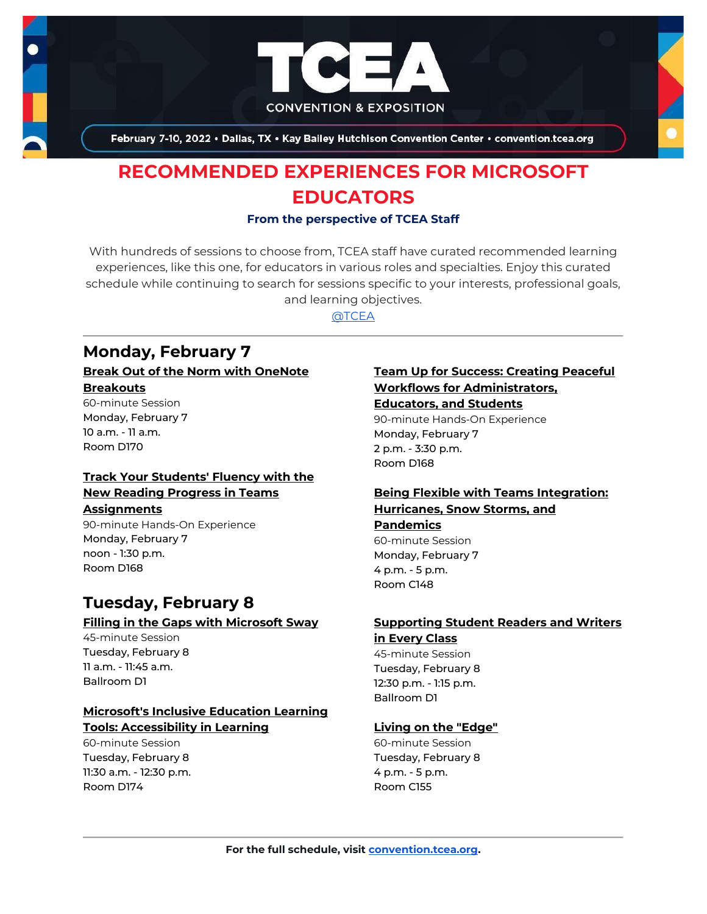

February 7-10, 2022 . Dallas, TX . Kay Bailey Hutchison Convention Center . convention.tcea.org

# **RECOMMENDED EXPERIENCES FOR MICROSOFT EDUCATORS**

#### **From the perspective of TCEA Staff**

With hundreds of sessions to choose from, TCEA staff have curated recommended learning experiences, like this one, for educators in various roles and specialties. Enjoy this curated schedule while continuing to search for sessions specific to your interests, professional goals, and learning objectives.

[@TCEA](https://twitter.com/TCEA)

## **Monday, February 7**

#### **[Break Out of the Norm with OneNote](https://register.tcea.org/2022/session_list.cfm?session_key=02322D26-F04D-A206-2B64-2568BB502FB1&session_date=Monday,%20Feb%2007,%202022)  [Breakouts](https://register.tcea.org/2022/session_list.cfm?session_key=02322D26-F04D-A206-2B64-2568BB502FB1&session_date=Monday,%20Feb%2007,%202022)**

60-minute Session Monday, February 7 10 a.m. - 11 a.m. Room D170

## **[Track Your Students' Fluency with the](https://register.tcea.org/2022/session_list.cfm?session_key=02437DA5-F04D-A206-2B64-0FD53A58216B&session_date=Monday,%20Feb%2007,%202022)  [New Reading Progress in Teams](https://register.tcea.org/2022/session_list.cfm?session_key=02437DA5-F04D-A206-2B64-0FD53A58216B&session_date=Monday,%20Feb%2007,%202022)**

### **[Assignments](https://register.tcea.org/2022/session_list.cfm?session_key=02437DA5-F04D-A206-2B64-0FD53A58216B&session_date=Monday,%20Feb%2007,%202022)**

90-minute Hands-On Experience Monday, February 7 noon - 1:30 p.m. Room D168

## **Tuesday, February 8 [Filling in the Gaps with Microsoft Sway](https://register.tcea.org/2022/session_list.cfm?session_key=0237A573-F04D-A206-2B64-72D0AA696950&session_date=Tuesday,%20Feb%2008,%202022)**

45-minute Session Tuesday, February 8 11 a.m. - 11:45 a.m. Ballroom D1

## **[Microsoft's Inclusive Education Learning](https://register.tcea.org/2022/session_list.cfm?session_key=023D5641-F04D-A206-2B64-6705049D7F2C&session_date=Tuesday,%20Feb%2008,%202022)  [Tools: Accessibility in Learning](https://register.tcea.org/2022/session_list.cfm?session_key=023D5641-F04D-A206-2B64-6705049D7F2C&session_date=Tuesday,%20Feb%2008,%202022)**

60-minute Session Tuesday, February 8 11:30 a.m. - 12:30 p.m. Room D174

## **[Team Up for Success: Creating Peaceful](https://register.tcea.org/2022/session_list.cfm?session_key=0241DB48-F04D-A206-2B64-2CC5A54E4167&session_date=Monday,%20Feb%2007,%202022) [Workflows for Administrators,](https://register.tcea.org/2022/session_list.cfm?session_key=0241DB48-F04D-A206-2B64-2CC5A54E4167&session_date=Monday,%20Feb%2007,%202022)  [Educators, and Students](https://register.tcea.org/2022/session_list.cfm?session_key=0241DB48-F04D-A206-2B64-2CC5A54E4167&session_date=Monday,%20Feb%2007,%202022)**

90-minute Hands-On Experience Monday, February 7 2 p.m. - 3:30 p.m. Room D168

## **[Being Flexible with Teams Integration:](https://register.tcea.org/2022/session_list.cfm?session_key=02319F37-F04D-A206-2B64-52180864E1FB&session_date=Monday,%20Feb%2007,%202022)  [Hurricanes, Snow Storms, and](https://register.tcea.org/2022/session_list.cfm?session_key=02319F37-F04D-A206-2B64-52180864E1FB&session_date=Monday,%20Feb%2007,%202022)**

## **[Pandemics](https://register.tcea.org/2022/session_list.cfm?session_key=02319F37-F04D-A206-2B64-52180864E1FB&session_date=Monday,%20Feb%2007,%202022)** 60-minute Session

Monday, February 7 4 p.m. - 5 p.m. Room C148

## **[Supporting Student Readers and Writers](https://register.tcea.org/2022/session_list.cfm?session_key=CBC88EE5-F04D-A206-2B64-A6631F8C2BDF&session_date=Tuesday,%20Feb%2008,%202022)  [in Every Class](https://register.tcea.org/2022/session_list.cfm?session_key=CBC88EE5-F04D-A206-2B64-A6631F8C2BDF&session_date=Tuesday,%20Feb%2008,%202022)**

45-minute Session Tuesday, February 8 12:30 p.m. - 1:15 p.m. Ballroom D1

## **[Living on the "Edge"](https://register.tcea.org/2022/session_list.cfm?session_key=023CF19C-F04D-A206-2B64-10C9D227AE59&session_date=Tuesday,%20Feb%2008,%202022)**

60-minute Session Tuesday, February 8 4 p.m. - 5 p.m. Room C155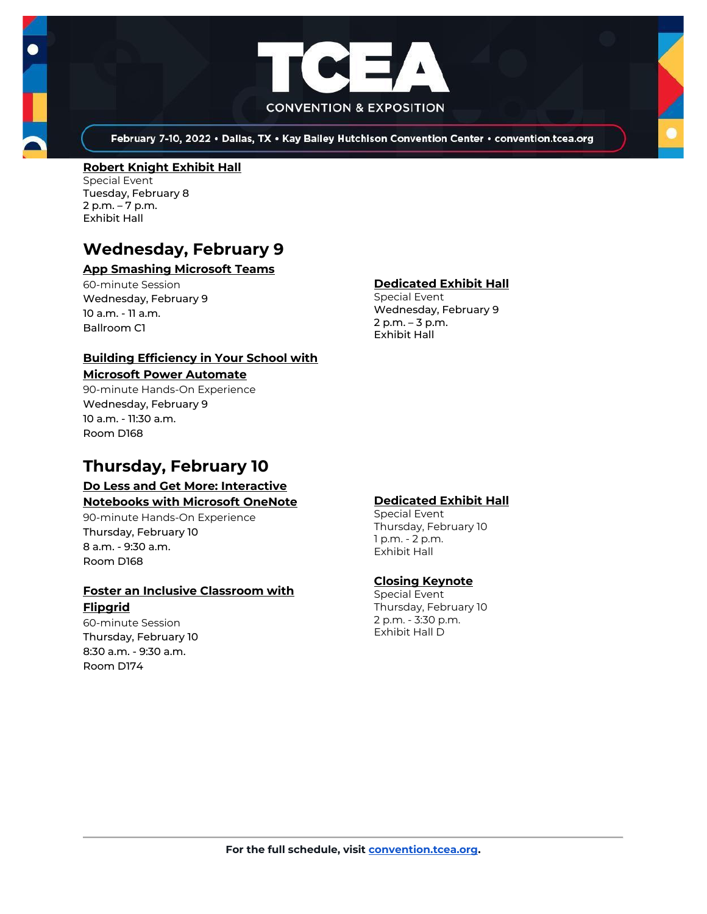

February 7-10, 2022 . Dallas, TX . Kay Bailey Hutchison Convention Center . convention.tcea.org

#### **[Robert Knight Exhibit Hall](https://register.tcea.org/2022/session_list.cfm?session_key=61CDF249-F04D-A206-2B64-15D6559D2515&session_date=Tuesday,%20Feb%2008,%202022)**

Special Event Tuesday, February 8 2 p.m. – 7 p.m. Exhibit Hall

## **Wednesday, February 9**

## **[App Smashing Microsoft Teams](https://register.tcea.org/2022/session_list.cfm?session_key=BF193765-F04D-A206-2B64-F690D9FAA06C&session_date=Wednesday,%20Feb%2009,%202022)**

60-minute Session Wednesday, February 9 10 a.m. - 11 a.m. Ballroom C1

### **[Building Efficiency in Your School with](https://register.tcea.org/2022/session_list.cfm?session_key=0232AAC3-F04D-A206-2B64-D1267D794B3F&session_date=Wednesday,%20Feb%2009,%202022)  [Microsoft Power Automate](https://register.tcea.org/2022/session_list.cfm?session_key=0232AAC3-F04D-A206-2B64-D1267D794B3F&session_date=Wednesday,%20Feb%2009,%202022)**

90-minute Hands-On Experience Wednesday, February 9 10 a.m. - 11:30 a.m. Room D168

## **Thursday, February 10**

### **[Do Less and Get More: Interactive](https://register.tcea.org/2022/session_list.cfm?session_key=0236906C-F04D-A206-2B64-85888E2B8AB7&session_date=Thursday,%20Feb%2010,%202022)  [Notebooks with Microsoft OneNote](https://register.tcea.org/2022/session_list.cfm?session_key=0236906C-F04D-A206-2B64-85888E2B8AB7&session_date=Thursday,%20Feb%2010,%202022)**

90-minute Hands-On Experience Thursday, February 10 8 a.m. - 9:30 a.m. Room D168

#### **[Foster an Inclusive Classroom with](https://register.tcea.org/2022/session_list.cfm?session_key=0237D59F-F04D-A206-2B64-F8BD8CA8B219&session_date=Thursday,%20Feb%2010,%202022)  [Flipgrid](https://register.tcea.org/2022/session_list.cfm?session_key=0237D59F-F04D-A206-2B64-F8BD8CA8B219&session_date=Thursday,%20Feb%2010,%202022)**

60-minute Session Thursday, February 10 8:30 a.m. - 9:30 a.m. Room D174

## **[Dedicated Exhibit Hall](https://register.tcea.org/2022/session_list.cfm?session_key=61CDD8E6-F04D-A206-2B64-74AAAD8173D7&session_date=Wednesday,%20Feb%2009,%202022)**

Special Event Wednesday, February 9 2 p.m. – 3 p.m. Exhibit Hall

### **[Dedicated Exhibit Hall](https://register.tcea.org/2022/session_list.cfm?session_key=61CDD8E6-F04D-A206-2B64-74AAAD8173D7&session_date=Thursday,%20Feb%2010,%202022)**

Special Event Thursday, February 10 1 p.m. - 2 p.m. Exhibit Hall

### **[Closing Keynote](https://register.tcea.org/2022/session_list.cfm?session_key=5F4F3255-F04D-A206-2B64-6ACD0E3FF7E6&session_date=Thursday,%20Feb%2010,%202022)**

Special Event Thursday, February 10 2 p.m. - 3:30 p.m. Exhibit Hall D